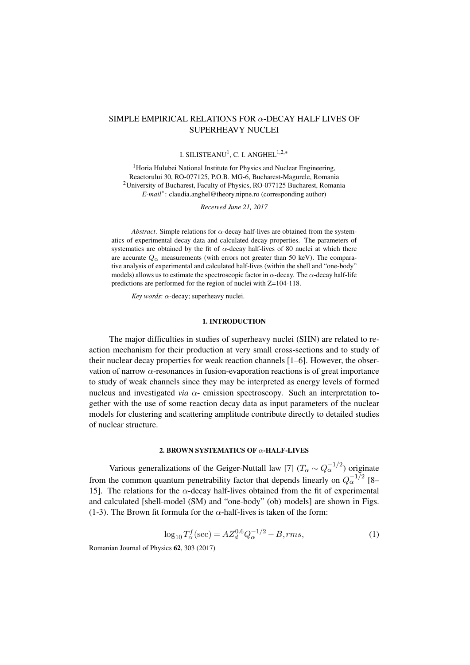# SIMPLE EMPIRICAL RELATIONS FOR  $\alpha$ -DECAY HALF LIVES OF SUPERHEAVY NUCLEI

## I. SILISTEANU $^1$ , C. I. ANGHEL $^{1,2,*}$

<sup>1</sup> Horia Hulubei National Institute for Physics and Nuclear Engineering, Reactorului 30, RO-077125, P.O.B. MG-6, Bucharest-Magurele, Romania <sup>2</sup>University of Bucharest, Faculty of Physics, RO-077125 Bucharest, Romania *E-mail*<sup>∗</sup> : claudia.anghel@theory.nipne.ro (corresponding author)

*Received June 21, 2017*

*Abstract*. Simple relations for  $\alpha$ -decay half-lives are obtained from the systematics of experimental decay data and calculated decay properties. The parameters of systematics are obtained by the fit of  $\alpha$ -decay half-lives of 80 nuclei at which there are accurate  $Q_{\alpha}$  measurements (with errors not greater than 50 keV). The comparative analysis of experimental and calculated half-lives (within the shell and "one-body" models) allows us to estimate the spectroscopic factor in  $\alpha$ -decay. The  $\alpha$ -decay half-life predictions are performed for the region of nuclei with Z=104-118.

*Key words*: α-decay; superheavy nuclei.

## 1. INTRODUCTION

The major difficulties in studies of superheavy nuclei (SHN) are related to reaction mechanism for their production at very small cross-sections and to study of their nuclear decay properties for weak reaction channels [\[1–](#page-8-0)[6\]](#page-8-1). However, the observation of narrow  $\alpha$ -resonances in fusion-evaporation reactions is of great importance to study of weak channels since they may be interpreted as energy levels of formed nucleus and investigated *via* α- emission spectroscopy. Such an interpretation together with the use of some reaction decay data as input parameters of the nuclear models for clustering and scattering amplitude contribute directly to detailed studies of nuclear structure.

## 2. BROWN SYSTEMATICS OF  $\alpha$ -HALF-LIVES

Various generalizations of the Geiger-Nuttall law [\[7\]](#page-8-2)  $(T_\alpha \sim Q_\alpha^{-1/2})$  originate from the common quantum penetrability factor that depends linearly on  $Q_{\alpha}^{-1/2}$  [\[8–](#page-8-3) [15\]](#page-8-4). The relations for the  $\alpha$ -decay half-lives obtained from the fit of experimental and calculated [shell-model (SM) and "one-body" (ob) models] are shown in Figs. [\(1-](#page-1-0)[3\)](#page-2-0). The Brown fit formula for the  $\alpha$ -half-lives is taken of the form:

$$
\log_{10} T_{\alpha}^{f}(\text{sec}) = A Z_{d}^{0.6} Q_{\alpha}^{-1/2} - B, rms,
$$
\n(1)

Romanian Journal of Physics 62, 303 (2017).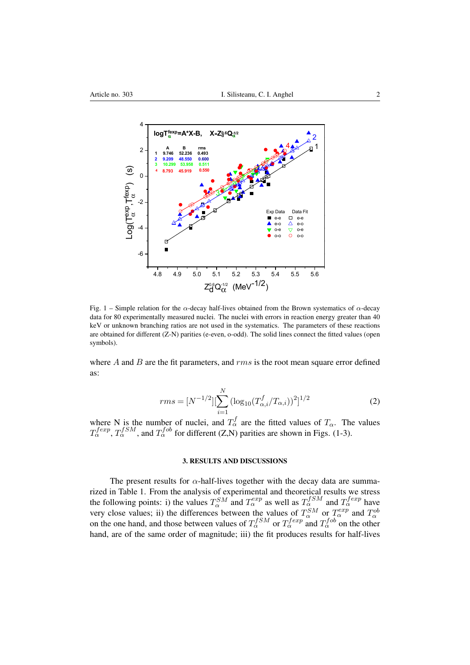

<span id="page-1-0"></span>Fig. 1 – Simple relation for the  $\alpha$ -decay half-lives obtained from the Brown systematics of  $\alpha$ -decay data for 80 experimentally measured nuclei. The nuclei with errors in reaction energy greater than 40 keV or unknown branching ratios are not used in the systematics. The parameters of these reactions are obtained for different (Z-N) parities (e-even, o-odd). The solid lines connect the fitted values (open symbols).

where  $A$  and  $B$  are the fit parameters, and  $rms$  is the root mean square error defined as:

$$
rms = [N^{-1/2}][\sum_{i=1}^{N} (\log_{10}(T_{\alpha,i}^{f}/T_{\alpha,i}))^{2}]^{1/2}
$$
 (2)

where N is the number of nuclei, and  $T_{\alpha}^{f}$  are the fitted values of  $T_{\alpha}$ . The values  $T_{\alpha}^{fexp}, T_{\alpha}^{fSM}$ , and  $T_{\alpha}^{fob}$  for different (Z,N) parities are shown in Figs. [\(1-](#page-1-0)[3\)](#page-2-0).

## 3. RESULTS AND DISCUSSIONS

The present results for  $\alpha$ -half-lives together with the decay data are summarized in Table [1.](#page-4-0) From the analysis of experimental and theoretical results we stress the following points: i) the values  $T_\alpha^{SM}$  and  $T_\alpha^{exp}$  as well as  $T_\alpha^{fSM}$  and  $T_\alpha^{fexp}$  have very close values; ii) the differences between the values of  $T_{\alpha}^{SM}$  or  $T_{\alpha}^{exp}$  and  $T_{\alpha}^{ob}$ on the one hand, and those between values of  $T_{\alpha}^{fSM}$  or  $T_{\alpha}^{fexp}$  and  $T_{\alpha}^{fob}$  on the other hand, are of the same order of magnitude; iii) the fit produces results for half-lives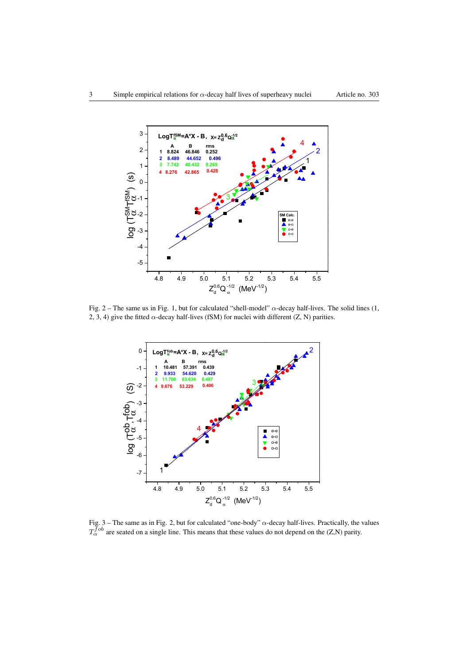

<span id="page-2-1"></span>Fig.  $2$  – The same us in Fig. [1,](#page-1-0) but for calculated "shell-model"  $\alpha$ -decay half-lives. The solid lines (1, 2, 3, 4) give the fitted  $\alpha$ -decay half-lives (fSM) for nuclei with different (Z, N) parities.



<span id="page-2-0"></span>Fig. 3 – The same as in Fig. [2,](#page-2-1) but for calculated "one-body"  $\alpha$ -decay half-lives. Practically, the values  $T_{\alpha}^{fob}$  are seated on a single line. This means that these values do not depend on the (Z,N) parity.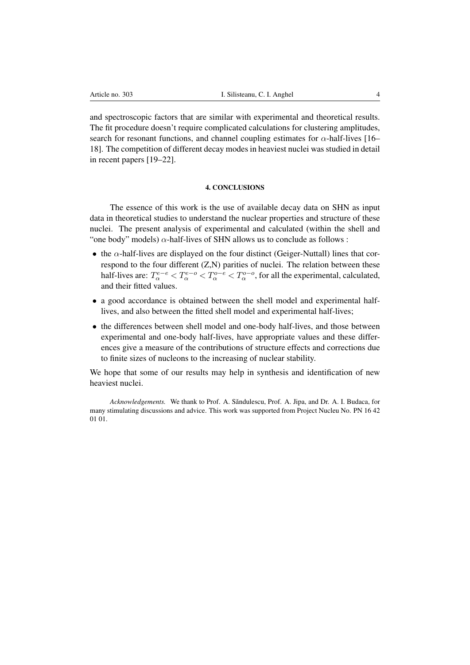and spectroscopic factors that are similar with experimental and theoretical results. The fit procedure doesn't require complicated calculations for clustering amplitudes, search for resonant functions, and channel coupling estimates for  $\alpha$ -half-lives [\[16–](#page-8-5) [18\]](#page-8-6). The competition of different decay modes in heaviest nuclei was studied in detail in recent papers [\[19–](#page-8-7)[22\]](#page-8-8).

## 4. CONCLUSIONS

The essence of this work is the use of available decay data on SHN as input data in theoretical studies to understand the nuclear properties and structure of these nuclei. The present analysis of experimental and calculated (within the shell and "one body" models)  $\alpha$ -half-lives of SHN allows us to conclude as follows :

- the  $\alpha$ -half-lives are displayed on the four distinct (Geiger-Nuttall) lines that correspond to the four different (Z,N) parities of nuclei. The relation between these half-lives are:  $T_\alpha^{e-e} < T_\alpha^{e-o} < T_\alpha^{o-e} < T_\alpha^{o-o}$ , for all the experimental, calculated, and their fitted values.
- a good accordance is obtained between the shell model and experimental halflives, and also between the fitted shell model and experimental half-lives;
- the differences between shell model and one-body half-lives, and those between experimental and one-body half-lives, have appropriate values and these differences give a measure of the contributions of structure effects and corrections due to finite sizes of nucleons to the increasing of nuclear stability.

We hope that some of our results may help in synthesis and identification of new heaviest nuclei.

*Acknowledgements.* We thank to Prof. A. Săndulescu, Prof. A. Jipa, and Dr. A. I. Budaca, for many stimulating discussions and advice. This work was supported from Project Nucleu No. PN 16 42 01 01.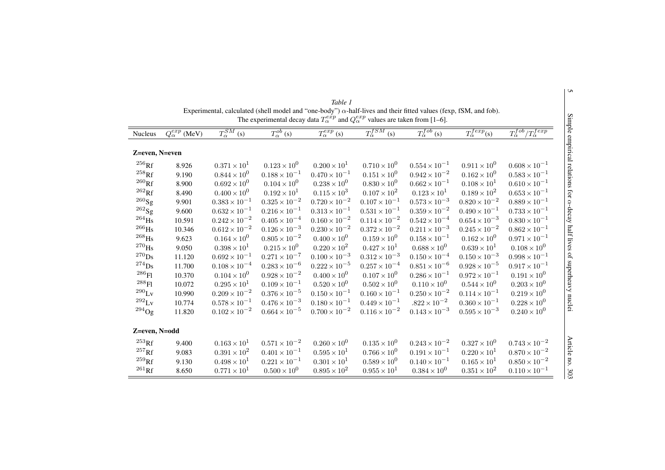<span id="page-4-0"></span>

| Nucleus             | $Q_{\alpha}^{exp}$ (MeV) | $T_{\alpha}^{SM}$ (s)  | $\overline{T_{\alpha}^{ob}\left(s\right)}$ | $\overline{T_\alpha^{exp}\left( s\right)}$ | $T^{fSM}_{\alpha}$<br>(s) | $T_{\alpha}^{fob}$ (s) | $\overline{T_{\alpha}^{fexp}(s)}$ | $T_{\alpha}^{fob}/T_{\alpha}^{fexp}$ |
|---------------------|--------------------------|------------------------|--------------------------------------------|--------------------------------------------|---------------------------|------------------------|-----------------------------------|--------------------------------------|
| Z=even, N=even      |                          |                        |                                            |                                            |                           |                        |                                   |                                      |
| $^{256}\mathrm{Rf}$ | 8.926                    | $0.371 \times 10^{1}$  | $0.123 \times 10^{0}$                      | $0.200 \times 10^{1}$                      | $0.710 \times 10^{0}$     | $0.554 \times 10^{-1}$ | $0.911 \times 10^{0}$             | $0.608 \times 10^{-1}$               |
| $^{258}\mathrm{Rf}$ | 9.190                    | $0.844 \times 10^{0}$  | $0.188 \times 10^{-1}$                     | $0.470 \times 10^{-1}$                     | $0.151 \times 10^{0}$     | $0.942 \times 10^{-2}$ | $0.162 \times 10^{0}$             | $0.583 \times 10^{-1}$               |
| $^{260}\mathrm{Rf}$ | 8.900                    | $0.692 \times 10^{0}$  | $0.104 \times 10^{0}$                      | $0.238 \times 10^{0}$                      | $0.830 \times 10^{0}$     | $0.662 \times 10^{-1}$ | $0.108\times10^{1}$               | $0.610 \times 10^{-1}$               |
| $^{262}\mathrm{Rf}$ | 8.490                    | $0.400 \times 10^{0}$  | $0.192\times10^{1}$                        | $0.115 \times 10^{3}$                      | $0.107 \times 10^{2}$     | $0.123 \times 10^{1}$  | $0.189 \times 10^{2}$             | $0.653 \times 10^{-1}$               |
| $^{260}$ Sg         | 9.901                    | $0.383 \times 10^{-1}$ | $0.325\times10^{-2}$                       | $0.720 \times 10^{-2}$                     | $0.107 \times 10^{-1}$    | $0.573 \times 10^{-3}$ | $0.820\times10^{-2}$              | $0.889 \times 10^{-1}$               |
| $^{262}$ Sg         | 9.600                    | $0.632 \times 10^{-1}$ | $0.216 \times 10^{-1}$                     | $0.313 \times 10^{-1}$                     | $0.531\times10^{-1}$      | $0.359 \times 10^{-2}$ | $0.490 \times 10^{-1}$            | $0.733 \times 10^{-1}$               |
| $^{264}\mathrm{Hs}$ | 10.591                   | $0.242 \times 10^{-2}$ | $0.405 \times 10^{-4}$                     | $0.160 \times 10^{-2}$                     | $0.114 \times 10^{-2}$    | $0.542 \times 10^{-4}$ | $0.654 \times 10^{-3}$            | $0.830 \times 10^{-1}$               |
| $^{266}\mathrm{Hs}$ | 10.346                   | $0.612 \times 10^{-2}$ | $0.126 \times 10^{-3}$                     | $0.230 \times 10^{-2}$                     | $0.372 \times 10^{-2}$    | $0.211 \times 10^{-3}$ | $0.245 \times 10^{-2}$            | $0.862 \times 10^{-1}$               |
| $^{268}\mathrm{Hs}$ | 9.623                    | $0.164 \times 10^{0}$  | $0.805\times10^{-2}$                       | $0.400 \times 10^{0}$                      | $0.159 \times 10^{0}$     | $0.158\times10^{-1}$   | $0.162 \times 10^{0}$             | $0.971 \times 10^{-1}$               |
| $^{270}\mathrm{Hs}$ | 9.050                    | $0.398\times10^{1}$    | $0.215 \times 10^{0}$                      | $0.220 \times 10^{2}$                      | $0.427 \times 10^{1}$     | $0.688 \times 10^{0}$  | $0.639 \times 10^{1}$             | $0.108 \times 10^{0}$                |
| $^{270}\mathrm{Ds}$ | 11.120                   | $0.692 \times 10^{-1}$ | $0.271\times10^{-7}$                       | $0.100\times10^{-3}$                       | $0.312\times10^{-3}$      | $0.150\times10^{-4}$   | $0.150 \times 10^{-3}$            | $0.998\times10^{-1}$                 |
| $^{274}\mathrm{Ds}$ | 11.700                   | $0.108 \times 10^{-4}$ | $0.283\times10^{-6}$                       | $0.222 \times 10^{-5}$                     | $0.257 \times 10^{-4}$    | $0.851 \times 10^{-6}$ | $0.928 \times 10^{-5}$            | $0.917 \times 10^{-1}$               |
| $^{286}\mathrm{Fl}$ | 10.370                   | $0.104 \times 10^{0}$  | $0.928 \times 10^{-2}$                     | $0.400 \times 10^{0}$                      | $0.107 \times 10^{0}$     | $0.286 \times 10^{-1}$ | $0.972 \times 10^{-1}$            | $0.191 \times 10^{0}$                |
| $^{288}\mathrm{Fl}$ | 10.072                   | $0.295 \times 10^{1}$  | $0.109 \times 10^{-1}$                     | $0.520 \times 10^{0}$                      | $0.502 \times 10^{0}$     | $0.110 \times 10^{0}$  | $0.544 \times 10^{0}$             | $0.203 \times 10^{0}$                |
| $^{290}\mathrm{Lv}$ | 10.990                   | $0.209\times10^{-2}$   | $0.376 \times 10^{-5}$                     | $0.150 \times 10^{-1}$                     | $0.160 \times 10^{-1}$    | $0.250\times10^{-2}$   | $0.114 \times 10^{-1}$            | $0.219 \times 10^{0}$                |
| $^{292}\mathrm{Lv}$ | 10.774                   | $0.578 \times 10^{-1}$ | $0.476\times10^{-3}$                       | $0.180 \times 10^{-1}$                     | $0.449 \times 10^{-1}$    | $.822\times 10^{-2}$   | $0.360 \times 10^{-1}$            | $0.228 \times 10^{0}$                |
| $^{294}$ Og         | 11.820                   | $0.102 \times 10^{-2}$ | $0.664 \times 10^{-5}$                     | $0.700 \times 10^{-2}$                     | $0.116 \times 10^{-2}$    | $0.143 \times 10^{-3}$ | $0.595 \times 10^{-3}$            | $0.240 \times 10^{0}$                |
| Z=even, N=odd       |                          |                        |                                            |                                            |                           |                        |                                   |                                      |
| $^{253}\mathrm{Rf}$ | 9.400                    | $0.163 \times 10^{1}$  | $0.571 \times 10^{-2}$                     | $0.260 \times 10^{0}$                      | $0.135 \times 10^{0}$     | $0.243 \times 10^{-2}$ | $0.327 \times 10^{0}$             | $0.743 \times 10^{-2}$               |
| $^{257}$ Rf         | 9.083                    | $0.391 \times 10^{2}$  | $0.401 \times 10^{-1}$                     | $0.595 \times 10^{1}$                      | $0.766 \times 10^{0}$     | $0.191 \times 10^{-1}$ | $0.220 \times 10^{1}$             | $0.870 \times 10^{-2}$               |
| $^{259}\mathrm{Rf}$ | 9.130                    | $0.498 \times 10^{1}$  | $0.221 \times 10^{-1}$                     | $0.301 \times 10^{1}$                      | $0.589 \times 10^{0}$     | $0.140 \times 10^{-1}$ | $0.165 \times 10^{1}$             | $0.850 \times 10^{-2}$               |
| $^{261}\mathrm{Rf}$ | 8.650                    | $0.771 \times 10^{1}$  | $0.500 \times 10^{0}$                      | $0.895 \times 10^{2}$                      | $0.955 \times 10^{1}$     | $0.384 \times 10^{0}$  | $0.351 \times 10^{2}$             | $0.110 \times 10^{-1}$               |

| Table 1                                                                                                                  |
|--------------------------------------------------------------------------------------------------------------------------|
| Experimental, calculated (shell model and "one-body") $\alpha$ -half-lives and their fitted values (fexp, fSM, and fob). |
| The experimental decay data $T_{\alpha}^{exp}$ and $Q_{\alpha}^{exp}$ values are taken from [1–6].                       |

5 Simple empirical relations for Simple empirical relations for  $\alpha$ -decay half lives of superheavy nuclei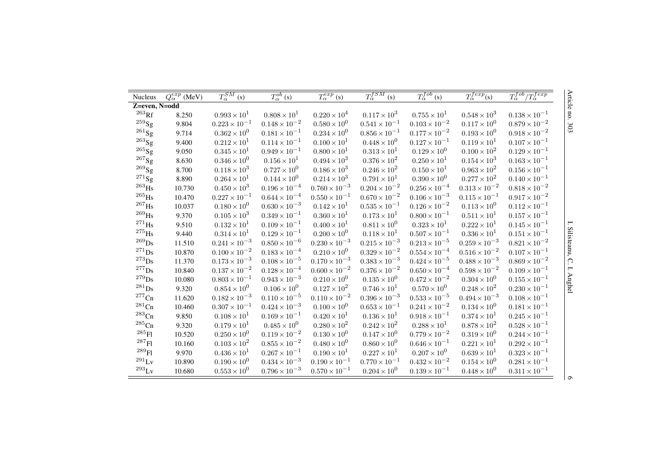| <b>Nucleus</b>      | $Q_{\alpha}^{exp}$ (MeV) | $T_{\alpha}^{SM}$ (s)  | $T_{\alpha}^{ob}$ (s)  | $T_{\alpha}^{exp}\left( \mathbf{s}\right)$ | $T^{fSM}_\alpha$<br>(s) | $T_{\alpha}^{fob}$ (s) | $T_{\alpha}^{fexp}(s)$ | $T_{\alpha}^{fob}/T_{\alpha}^{fexp}$ | Article     |
|---------------------|--------------------------|------------------------|------------------------|--------------------------------------------|-------------------------|------------------------|------------------------|--------------------------------------|-------------|
| Z=even, N=odd       |                          |                        |                        |                                            |                         |                        |                        |                                      |             |
| $^{263}$ Rf         | 8.250                    | $0.993 \times 10^{1}$  | $0.808 \times 10^{1}$  | $0.220 \times 10^{4}$                      | $0.117 \times 10^{3}$   | $0.755 \times 10^{1}$  | $0.548 \times 10^{3}$  | $0.138 \times 10^{-1}$               | no.         |
| $^{259}$ Sg         | 9.804                    | $0.223 \times 10^{-1}$ | $0.148 \times 10^{-2}$ | $0.580 \times 10^{0}$                      | $0.541 \times 10^{-1}$  | $0.103 \times 10^{-2}$ | $0.117 \times 10^{0}$  | $0.879 \times 10^{-2}$               | 505         |
| $^{261}$ Sg         | 9.714                    | $0.362 \times 10^{0}$  | $0.181 \times 10^{-1}$ | $0.234\times10^{0}$                        | $0.856 \times 10^{-1}$  | $0.177\times10^{-2}$   | $0.193\times10^{0}$    | $0.918 \times 10^{-2}$               |             |
| $^{263}{\rm Sg}$    | 9.400                    | $0.212 \times 10^{1}$  | $0.114 \times 10^{-1}$ | $0.100 \times 10^{1}$                      | $0.448 \times 10^{0}$   | $0.127\times10^{-1}$   | $0.119 \times 10^{1}$  | $0.107 \times 10^{-1}$               |             |
| $^{265}\mathrm{Sg}$ | 9.050                    | $0.345 \times 10^{1}$  | $0.949 \times 10^{-1}$ | $0.800 \times 10^{1}$                      | $0.313 \times 10^{1}$   | $0.129 \times 10^{0}$  | $0.100 \times 10^{2}$  | $0.129 \times 10^{-1}$               |             |
| $^{267}$ Sg         | 8.630                    | $0.346\times10^{0}$    | $0.156 \times 10^{1}$  | $0.494 \times 10^{3}$                      | $0.376 \times 10^{2}$   | $0.250 \times 10^{1}$  | $0.154 \times 10^{3}$  | $0.163 \times 10^{-1}$               |             |
| $^{269}$ Sg         | 8.700                    | $0.118 \times 10^{3}$  | $0.727 \times 10^{0}$  | $0.186 \times 10^{3}$                      | $0.246 \times 10^{2}$   | $0.150 \times 10^{1}$  | $0.963 \times 10^{2}$  | $0.156 \times 10^{-1}$               |             |
| $^{271}$ Sg         | 8.890                    | $0.264 \times 10^{1}$  | $0.144 \times 10^{0}$  | $0.214 \times 10^{3}$                      | $0.791 \times 10^{1}$   | $0.390 \times 10^{0}$  | $0.277 \times 10^{2}$  | $0.140 \times 10^{-1}$               |             |
| $^{263}$ Hs         | 10.730                   | $0.450 \times 10^{3}$  | $0.196\times10^{-4}$   | $0.760 \times 10^{-3}$                     | $0.204\times10^{-2}$    | $0.256\times10^{-4}$   | $0.313\times10^{-2}$   | $0.818 \times 10^{-2}$               |             |
| $^{265}\text{Hs}$   | 10.470                   | $0.227 \times 10^{-1}$ | $0.644 \times 10^{-4}$ | $0.550 \times 10^{-1}$                     | $0.670 \times 10^{-2}$  | $0.106\times10^{-3}$   | $0.115 \times 10^{-1}$ | $0.917\times10^{-2}$                 |             |
| $^{267}\mathrm{Hs}$ | 10.037                   | $0.180 \times 10^{0}$  | $0.630\times10^{-3}$   | $0.142 \times 10^{1}$                      | $0.535 \times 10^{-1}$  | $0.126\times10^{-2}$   | $0.113 \times 10^{0}$  | $0.112 \times 10^{-1}$               |             |
| $^{269}$ Hs         | 9.370                    | $0.105 \times 10^{3}$  | $0.349 \times 10^{-1}$ | $0.360 \times 10^{1}$                      | $0.173 \times 10^{1}$   | $0.800 \times 10^{-1}$ | $0.511 \times 10^{1}$  | $0.157 \times 10^{-1}$               |             |
| $^{271}$ Hs         | 9.510                    | $0.132 \times 10^{1}$  | $0.109 \times 10^{-1}$ | $0.400 \times 10^{1}$                      | $0.811 \times 10^{0}$   | $0.323 \times 10^{1}$  | $0.222 \times 10^{1}$  | $0.145 \times 10^{-1}$               |             |
| $^{275}\mathrm{Hs}$ | 9.440                    | $0.314 \times 10^{1}$  | $0.129 \times 10^{-1}$ | $0.200 \times 10^{0}$                      | $0.118 \times 10^{1}$   | $0.507 \times 10^{-1}$ | $0.336 \times 10^{1}$  | $0.151 \times 10^{-1}$               | Silisteanu, |
| $^{269}$ Ds         | 11.510                   | $0.241\times10^{-3}$   | $0.850 \times 10^{-6}$ | $0.230 \times 10^{-3}$                     | $0.215\times10^{-3}$    | $0.213\times10^{-5}$   | $0.259\times10^{-3}$   | $0.821 \times 10^{-2}$               |             |
| $^{271}$ Ds         | 10.870                   | $0.100 \times 10^{-2}$ | $0.183 \times 10^{-4}$ | $0.210 \times 10^{0}$                      | $0.329\times10^{-2}$    | $0.554\times10^{-4}$   | $0.516\times10^{-2}$   | $0.107 \times 10^{-1}$               |             |
| $^{273}$ Ds         | 11.370                   | $0.173 \times 10^{-3}$ | $0.108 \times 10^{-5}$ | $0.170 \times 10^{-3}$                     | $0.383 \times 10^{-3}$  | $0.424\times10^{-5}$   | $0.488\times10^{-3}$   | $0.869 \times 10^{-2}$               | $\Omega$    |
| $^{277}\mathrm{Ds}$ | 10.840                   | $0.137 \times 10^{-2}$ | $0.128 \times 10^{-4}$ | $0.600\times10^{-2}$                       | $0.376\times10^{-2}$    | $0.650 \times 10^{-4}$ | $0.598\times10^{-2}$   | $0.109 \times 10^{-1}$               | ⊢:          |
| $^{279}\mathrm{Ds}$ | 10.080                   | $0.803 \times 10^{-1}$ | $0.943 \times 10^{-3}$ | $0.210 \times 10^{0}$                      | $0.135 \times 10^{0}$   | $0.472\times10^{-2}$   | $0.304 \times 10^{0}$  | $0.155 \times 10^{-1}$               | Anghel      |
| $^{281}$ Ds         | 9.320                    | $0.854 \times 10^{0}$  | $0.106 \times 10^{0}$  | $0.127 \times 10^{2}$                      | $0.746 \times 10^{1}$   | $0.570 \times 10^{0}$  | $0.248 \times 10^{2}$  | $0.230 \times 10^{-1}$               |             |
| $^{277}$ Cn         | 11.620                   | $0.182 \times 10^{-3}$ | $0.110 \times 10^{-5}$ | $0.110\times10^{-2}$                       | $0.396 \times 10^{-3}$  | $0.533\times10^{-5}$   | $0.494\times{10}^{-3}$ | $0.108 \times 10^{-1}$               |             |
| $\mathrm{^{281}Cn}$ | 10.460                   | $0.307 \times 10^{-1}$ | $0.424 \times 10^{-3}$ | $0.100 \times 10^{0}$                      | $0.653 \times 10^{-1}$  | $0.241\times10^{-2}$   | $0.134 \times 10^{0}$  | $0.181 \times 10^{-1}$               |             |
| $^{283}\mathrm{Cn}$ | 9.850                    | $0.108 \times 10^{1}$  | $0.169 \times 10^{-1}$ | $0.420 \times 10^{1}$                      | $0.136 \times 10^{1}$   | $0.918 \times 10^{-1}$ | $0.374 \times 10^{1}$  | $0.245 \times 10^{-1}$               |             |
| $^{285}$ Cn         | 9.320                    | $0.179 \times 10^{1}$  | $0.485 \times 10^{0}$  | $0.280 \times 10^{2}$                      | $0.242\times10^{2}$     | $0.288 \times 10^{1}$  | $0.878 \times 10^{2}$  | $0.528 \times 10^{-1}$               |             |
| $^{285}$ Fl         | 10.520                   | $0.250 \times 10^{0}$  | $0.119 \times 10^{-2}$ | $0.130 \times 10^{0}$                      | $0.147 \times 10^{0}$   | $0.779 \times 10^{-2}$ | $0.319 \times 10^{0}$  | $0.244 \times 10^{-1}$               |             |
| $^{287}\mathrm{Fl}$ | 10.160                   | $0.103 \times 10^{2}$  | $0.855\times10^{-2}$   | $0.480 \times 10^{0}$                      | $0.860 \times 10^{0}$   | $0.646 \times 10^{-1}$ | $0.221 \times 10^{1}$  | $0.292 \times 10^{-1}$               |             |
| $^{289}\mathrm{Fl}$ | 9.970                    | $0.436 \times 10^{1}$  | $0.267 \times 10^{-1}$ | $0.190 \times 10^{1}$                      | $0.227 \times 10^{1}$   | $0.207 \times 10^{0}$  | $0.639 \times 10^{1}$  | $0.323 \times 10^{-1}$               |             |
| $^{291}\mathrm{Lv}$ | 10.890                   | $0.190 \times 10^{0}$  | $0.434 \times 10^{-3}$ | $0.190 \times 10^{-1}$                     | $0.770 \times 10^{-1}$  | $0.432 \times 10^{-2}$ | $0.154 \times 10^{0}$  | $0.281 \times 10^{-1}$               |             |
| $^{293}\mathrm{Lv}$ | 10.680                   | $0.553 \times 10^{0}$  | $0.796 \times 10^{-3}$ | $0.570 \times 10^{-1}$                     | $0.204 \times 10^{0}$   | $0.139 \times 10^{-1}$ | $0.448 \times 10^{0}$  | $0.311 \times 10^{-1}$               |             |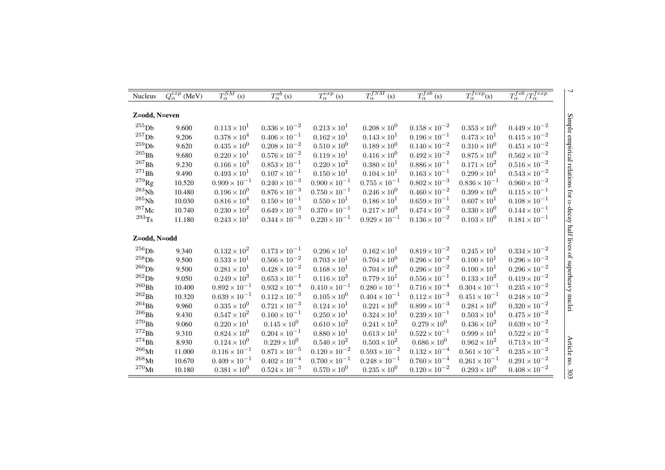| <b>Nucleus</b>       | $Q_{\alpha}^{exp}$ (MeV) | $\overline{T_{\alpha}^{SM}(\mathbf{s})}$ | $T_{\alpha}^{ob}$ (s)  | $T_{\alpha}^{exp}\left(s\right)$ | $T_{\alpha}^{fSM}$ (s) | $T_{\alpha}^{fob}$ (s) | $T_{\alpha}^{fexp}(s)$ | $T_{\alpha}^{fob}/T_{\alpha}^{fexp}$ |
|----------------------|--------------------------|------------------------------------------|------------------------|----------------------------------|------------------------|------------------------|------------------------|--------------------------------------|
|                      |                          |                                          |                        |                                  |                        |                        |                        |                                      |
| Z=odd, N=even        |                          |                                          |                        |                                  |                        |                        |                        |                                      |
| $255$ D <sub>b</sub> | 9.600                    | $0.113 \times 10^{1}$                    | $0.336 \times 10^{-2}$ | $0.213 \times 10^{1}$            | $0.208 \times 10^{0}$  | $0.158 \times 10^{-2}$ | $0.353 \times 10^{0}$  | $0.449 \times 10^{-2}$               |
| $257$ Dh             | 9.206                    | $0.378\times10^4$                        | $0.406 \times 10^{-1}$ | $0.162 \times 10^{1}$            | $0.143 \times 10^{1}$  | $0.196 \times 10^{-1}$ | $0.473 \times 10^{1}$  | $0.415 \times 10^{-2}$               |
| $^{259}\mathrm{Db}$  | 9.620                    | $0.435 \times 10^{0}$                    | $0.208 \times 10^{-2}$ | $0.510 \times 10^{0}$            | $0.189 \times 10^{0}$  | $0.140 \times 10^{-2}$ | $0.310 \times 10^{0}$  | $0.451 \times 10^{-2}$               |
| $^{265}\mbox{Bh}$    | 9.680                    | $0.220 \times 10^{1}$                    | $0.576\times10^{-2}$   | $0.119 \times 10^{1}$            | $0.416 \times 10^{0}$  | $0.492\times10^{-2}$   | $0.875 \times 10^{0}$  | $0.562 \times 10^{-2}$               |
| $^{267}\mbox{Bh}$    | 9.230                    | $0.166 \times 10^{3}$                    | $0.853 \times 10^{-1}$ | $0.220 \times 10^{2}$            | $0.380 \times 10^{1}$  | $0.886 \times 10^{-1}$ | $0.171 \times 10^{2}$  | $0.516 \times 10^{-2}$               |
| $^{271}\mbox{Bh}$    | 9.490                    | $0.493 \times 10^{1}$                    | $0.107 \times 10^{-1}$ | $0.150 \times 10^{1}$            | $0.104 \times 10^{1}$  | $0.163 \times 10^{-1}$ | $0.299 \times 10^{1}$  | $0.543\times{10}^{-2}$               |
| $^{279}\mathrm{Rg}$  | 10.520                   | $0.909 \times 10^{-1}$                   | $0.240 \times 10^{-3}$ | $0.900 \times 10^{-1}$           | $0.755 \times 10^{-1}$ | $0.802 \times 10^{-3}$ | $0.836 \times 10^{-1}$ | $0.960\times10^{-2}$                 |
| $^{283}$ Nh          | 10.480                   | $0.196 \times 10^{0}$                    | $0.876 \times 10^{-3}$ | $0.750 \times 10^{-1}$           | $0.246 \times 10^{0}$  | $0.460 \times 10^{-2}$ | $0.399 \times 10^{0}$  | $0.115 \times 10^{-1}$               |
| $^{285}\mathrm{Nh}$  | 10.030                   | $0.816 \times 10^{4}$                    | $0.150 \times 10^{-1}$ | $0.550 \times 10^{1}$            | $0.186 \times 10^{1}$  | $0.659 \times 10^{-1}$ | $0.607 \times 10^{1}$  | $0.108 \times 10^{-1}$               |
| $^{287}\rm{Mc}$      | 10.740                   | $0.230 \times 10^{2}$                    | $0.649 \times 10^{-3}$ | $0.370 \times 10^{-1}$           | $0.217 \times 10^{0}$  | $0.474 \times 10^{-2}$ | $0.330 \times 10^{0}$  | $0.144 \times 10^{-1}$               |
| $^{293}$ Ts          | 11.180                   | $0.243 \times 10^{1}$                    | $0.344 \times 10^{-3}$ | $0.220 \times 10^{-1}$           | $0.929 \times 10^{-1}$ | $0.136 \times 10^{-2}$ | $0.103 \times 10^{0}$  | $0.181 \times 10^{-1}$               |
| Z=odd, N=odd         |                          |                                          |                        |                                  |                        |                        |                        |                                      |
| $^{256}$ Dh          | 9.340                    | $0.132 \times 10^{2}$                    | $0.173 \times 10^{-1}$ | $0.296 \times 10^{1}$            | $0.162 \times 10^{1}$  | $0.819 \times 10^{-2}$ | $0.245 \times 10^{1}$  | $0.334 \times 10^{-2}$               |
| $^{258}$ Db          | 9.500                    | $0.533 \times 10^{1}$                    | $0.566 \times 10^{-2}$ | $0.703 \times 10^{1}$            | $0.704 \times 10^{0}$  | $0.296\times10^{-2}$   | $0.100 \times 10^{1}$  | $0.296 \times 10^{-2}$               |
| $^{260}\mathrm{Db}$  | 9.500                    | $0.281\times10^{1}$                      | $0.428 \times 10^{-2}$ | $0.168 \times 10^{1}$            | $0.704 \times 10^{0}$  | $0.296 \times 10^{-2}$ | $0.100 \times 10^{1}$  | $0.296\times10^{-2}$                 |
| $^{262}{\rm Db}$     | 9.050                    | $0.249 \times 10^{3}$                    | $0.653 \times 10^{-1}$ | $0.116 \times 10^{3}$            | $0.779 \times 10^{1}$  | $0.556 \times 10^{-1}$ | $0.133\times10^{2}$    | $0.419\times10^{-2}$                 |
| $^{260}\mbox{Bh}$    | 10.400                   | $0.892 \times 10^{-1}$                   | $0.932\times10^{-4}$   | $0.410 \times 10^{-1}$           | $0.280 \times 10^{-1}$ | $0.716 \times 10^{-4}$ | $0.304 \times 10^{-1}$ | $0.235 \times 10^{-2}$               |
| $^{262}\mbox{Bh}$    | 10.320                   | $0.639 \times 10^{-1}$                   | $0.112\times10^{-3}$   | $0.105 \times 10^{0}$            | $0.404 \times 10^{-1}$ | $0.112 \times 10^{-3}$ | $0.451 \times 10^{-1}$ | $0.248 \times 10^{-2}$               |
| $^{264}\mbox{Bh}$    | 9.960                    | $0.335 \times 10^{0}$                    | $0.721 \times 10^{-3}$ | $0.124 \times 10^{1}$            | $0.221 \times 10^{0}$  | $0.899 \times 10^{-3}$ | $0.281 \times 10^{0}$  | $0.320\times10^{-2}$                 |
| $^{266}\mbox{Bh}$    | 9.430                    | $0.547 \times 10^{2}$                    | $0.160 \times 10^{-1}$ | $0.250 \times 10^{1}$            | $0.324 \times 10^{1}$  | $0.239 \times 10^{-1}$ | $0.503 \times 10^{1}$  | $0.475\times10^{-2}$                 |
| $^{270}\mbox{Bh}$    | 9.060                    | $0.220 \times 10^{1}$                    | $0.145 \times 10^{0}$  | $0.610 \times 10^{2}$            | $0.241 \times 10^{2}$  | $0.279 \times 10^{0}$  | $0.436 \times 10^{2}$  | $0.639\times10^{-2}$                 |
| $\rm ^{272}Bh$       | 9.310                    | $0.824 \times 10^{0}$                    | $0.204 \times 10^{-1}$ | $0.880 \times 10^{1}$            | $0.613 \times 10^{1}$  | $0.522 \times 10^{-1}$ | $0.999 \times 10^{1}$  | $0.522\times10^{-2}$                 |
| $^{274}\mbox{Bh}$    | 8.930                    | $0.124 \times 10^{0}$                    | $0.229 \times 10^{0}$  | $0.540 \times 10^{2}$            | $0.503\times10^{2}$    | $0.686 \times 10^{0}$  | $0.962 \times 10^{2}$  | $0.713\times10^{-2}$                 |
| $^{266}\rm{Mt}$      | 11.000                   | $0.116 \times 10^{-1}$                   | $0.871 \times 10^{-5}$ | $0.120 \times 10^{-2}$           | $0.593\times10^{-2}$   | $0.132\times10^{-4}$   | $0.561\times10^{-2}$   | $0.235\times10^{-2}$                 |
| $^{268}\rm{Mt}$      | 10.670                   | $0.409 \times 10^{-1}$                   | $0.402 \times 10^{-4}$ | $0.700 \times 10^{-1}$           | $0.248 \times 10^{-1}$ | $0.760 \times 10^{-4}$ | $0.261 \times 10^{-1}$ | $0.291 \times 10^{-2}$               |
| $^{270}$ Mt          | 10.180                   | $0.381 \times 10^{0}$                    | $0.524 \times 10^{-3}$ | $0.570 \times 10^{0}$            | $0.235 \times 10^{0}$  | $0.120 \times 10^{-2}$ | $0.293 \times 10^{0}$  | $0.408 \times 10^{-2}$               |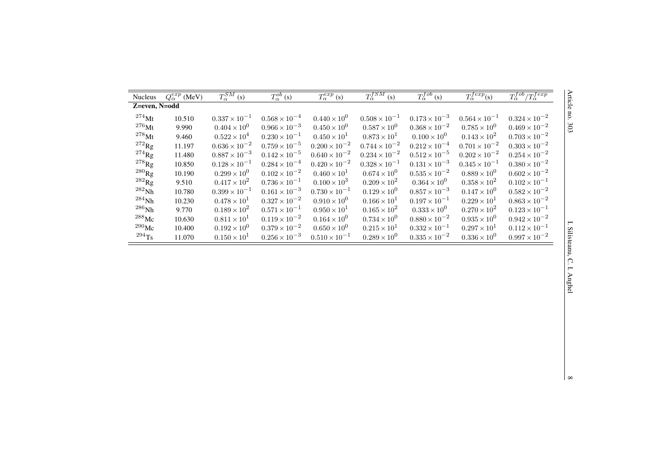| Nucleus             | $Q_{\alpha}^{exp}$ (MeV) | $T_{\alpha}^{SM}$ (s)  | $T_{\alpha}^{ob}\left( \mathbf{s}\right)$ | $T_{\alpha}^{exp}\left( s\right)$ | $T_{\alpha}^{fSM}$<br>(s) | $T_{\alpha}^{fob}$ (s) | $T_{\alpha}^{fexp}(s)$ | $T_{\alpha}^{fob}/T_{\alpha}^{fexp}$ | Article no.    |
|---------------------|--------------------------|------------------------|-------------------------------------------|-----------------------------------|---------------------------|------------------------|------------------------|--------------------------------------|----------------|
| Z=even, N=odd       |                          |                        |                                           |                                   |                           |                        |                        |                                      |                |
| $^{274}$ Mt         | 10.510                   | $0.337 \times 10^{-1}$ | $0.568 \times 10^{-4}$                    | $0.440 \times 10^{0}$             | $0.508 \times 10^{-1}$    | $0.173 \times 10^{-3}$ | $0.564 \times 10^{-1}$ | $0.324\times10^{-2}$                 |                |
| $^{276}\rm{Mt}$     | 9.990                    | $0.404 \times 10^{0}$  | $0.966 \times 10^{-3}$                    | $0.450 \times 10^{0}$             | $0.587 \times 10^{0}$     | $0.368 \times 10^{-2}$ | $0.785 \times 10^{0}$  | $0.469 \times 10^{-2}$               | 503            |
| $^{278}\mathrm{Mt}$ | 9.460                    | $0.522 \times 10^{4}$  | $0.230 \times 10^{-1}$                    | $0.450 \times 10^{1}$             | $0.873 \times 10^{1}$     | $0.100 \times 10^{0}$  | $0.143 \times 10^{2}$  | $0.703\times10^{-2}$                 |                |
| $^{272}\mathrm{Rg}$ | 11.197                   | $0.636 \times 10^{-2}$ | $0.759\times10^{-5}$                      | $0.200\times10^{-2}$              | $0.744\times10^{-2}$      | $0.212\times10^{-4}$   | $0.701\times10^{-2}$   | $0.303\times10^{-2}$                 |                |
| $^{274}$ Rg         | 11.480                   | $0.887 \times 10^{-3}$ | $0.142 \times 10^{-5}$                    | $0.640 \times 10^{-2}$            | $0.234 \times 10^{-2}$    | $0.512 \times 10^{-5}$ | $0.202 \times 10^{-2}$ | $0.254\times10^{-2}$                 |                |
| $^{278}\mathrm{Rg}$ | 10.850                   | $0.128 \times 10^{-1}$ | $0.284 \times 10^{-4}$                    | $0.420 \times 10^{-2}$            | $0.328 \times 10^{-1}$    | $0.131 \times 10^{-3}$ | $0.345\times{10}^{-1}$ | $0.380\times10^{-2}$                 |                |
| $^{280}\mathrm{Rg}$ | 10.190                   | $0.299 \times 10^{0}$  | $0.102\times10^{-2}$                      | $0.460 \times 10^{1}$             | $0.674 \times 10^{0}$     | $0.535 \times 10^{-2}$ | $0.889\times10^{0}$    | $0.602 \times 10^{-2}$               |                |
| $^{282}\mathrm{Rg}$ | 9.510                    | $0.417 \times 10^{2}$  | $0.736\times10^{-1}$                      | $0.100 \times 10^{3}$             | $0.209 \times 10^{2}$     | $0.364 \times 10^{0}$  | $0.358 \times 10^{2}$  | $0.102 \times 10^{-1}$               |                |
| $282$ <sub>Nh</sub> | 10.780                   | $0.399 \times 10^{-1}$ | $0.161 \times 10^{-3}$                    | $0.730 \times 10^{-1}$            | $0.129 \times 10^{0}$     | $0.857 \times 10^{-3}$ | $0.147 \times 10^{0}$  | $0.582 \times 10^{-2}$               |                |
| $^{284}\mbox{Nh}$   | 10.230                   | $0.478 \times 10^{1}$  | $0.327 \times 10^{-2}$                    | $0.910 \times 10^{0}$             | $0.166 \times 10^{1}$     | $0.197 \times 10^{-1}$ | $0.229 \times 10^{1}$  | $0.863 \times 10^{-2}$               |                |
| $^{286}\mbox{Nh}$   | 9.770                    | $0.189 \times 10^{2}$  | $0.571\times10^{-1}$                      | $0.950 \times 10^{1}$             | $0.165 \times 10^{2}$     | $0.333 \times 10^{0}$  | $0.270 \times 10^{2}$  | $0.123 \times 10^{-1}$               |                |
| $^{288}\rm{Mc}$     | 10.630                   | $0.811 \times 10^{1}$  | $0.119 \times 10^{-2}$                    | $0.164 \times 10^{0}$             | $0.734 \times 10^{0}$     | $0.880 \times 10^{-2}$ | $0.935 \times 10^{0}$  | $0.942 \times 10^{-2}$               | г.             |
| $^{290}\rm{Mc}$     | 10.400                   | $0.192\times10^{0}$    | $0.379 \times 10^{-2}$                    | $0.650 \times 10^{0}$             | $0.215\times10^{1}$       | $0.332 \times 10^{-1}$ | $0.297 \times 10^{1}$  | $0.112 \times 10^{-1}$               |                |
| $^{294}$ Ts         | 11.070                   | $0.150 \times 10^{1}$  | $0.256 \times 10^{-3}$                    | $0.510 \times 10^{-1}$            | $0.289 \times 10^{0}$     | $0.335\times10^{-2}$   | $0.336 \times 10^{0}$  | $0.997\times10^{-2}$                 | Silisteanu, C. |
|                     |                          |                        |                                           |                                   |                           |                        |                        |                                      |                |
|                     |                          |                        |                                           |                                   |                           |                        |                        |                                      |                |
|                     |                          |                        |                                           |                                   |                           |                        |                        |                                      |                |
|                     |                          |                        |                                           |                                   |                           |                        |                        |                                      |                |
|                     |                          |                        |                                           |                                   |                           |                        |                        |                                      | I. Anghel      |
|                     |                          |                        |                                           |                                   |                           |                        |                        |                                      |                |
|                     |                          |                        |                                           |                                   |                           |                        |                        |                                      |                |
|                     |                          |                        |                                           |                                   |                           |                        |                        |                                      |                |
|                     |                          |                        |                                           |                                   |                           |                        |                        |                                      |                |
|                     |                          |                        |                                           |                                   |                           |                        |                        |                                      |                |
|                     |                          |                        |                                           |                                   |                           |                        |                        |                                      |                |
|                     |                          |                        |                                           |                                   |                           |                        |                        |                                      |                |
|                     |                          |                        |                                           |                                   |                           |                        |                        |                                      |                |
|                     |                          |                        |                                           |                                   |                           |                        |                        |                                      |                |
|                     |                          |                        |                                           |                                   |                           |                        |                        |                                      | $\infty$       |